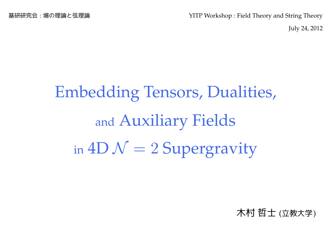基研研究会:場の理論と弦理論 YITP Workshop : Field Theory and String Theory

July 24, 2012

# Embedding Tensors, Dualities, and Auxiliary Fields in  $4D N = 2$  Supergravity

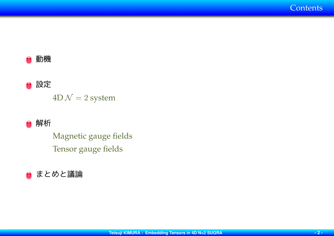

## ○ 設定

 $4D \mathcal{N} = 2$  system



Magnetic gauge fields Tensor gauge fields

### ● まとめと議論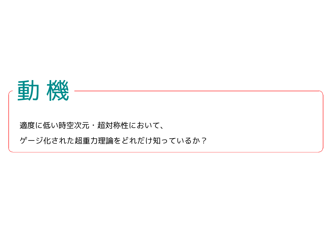

適度に低い時空次元・超対称性において、

ゲージ化された超重力理論をどれだけ知っているか?

**✒ ✑**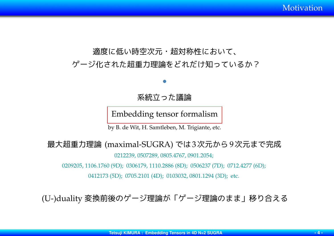Motivation

# 適度に低い時空次元・超対称性において、 ゲージ化された超重力理論をどれだけ知っているか?

### 系統立った議論

*•*

Embedding tensor formalism

by B. de Wit, H. Samtleben, M. Trigiante, etc.

### 最大超重力理論 (maximal-SUGRA) では3次元から9次元まで完成

0212239, 0507289, 0805.4767, 0901.2054;

0209205, 1106.1760 (9D); 0306179, 1110.2886 (8D); 0506237 (7D); 0712.4277 (6D);

0412173 (5D); 0705.2101 (4D); 0103032, 0801.1294 (3D); etc.

(U-)duality 変換前後のゲージ理論が「ゲージ理論のまま」移り合える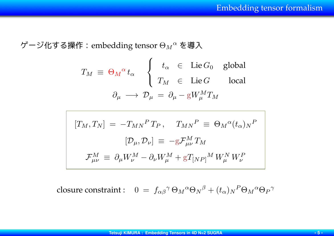ゲージ化する操作:embedding tensor Θ*<sup>M</sup> <sup>α</sup>* を導入

$$
T_M \equiv \Theta_M{}^{\alpha} t_{\alpha} \qquad \begin{cases} \n t_{\alpha} \in \text{Lie} \, G_0 \text{ global} \\ \n T_M \in \text{Lie} \, G \text{ local} \\ \n \partial_{\mu} \rightarrow \mathcal{D}_{\mu} = \partial_{\mu} - gW_{\mu}^M T_M \n \end{cases}
$$

$$
[T_M, T_N] = -T_{MN}{}^P T_P, \quad T_{MN}{}^P \equiv \Theta_M{}^{\alpha} (t_{\alpha})_N{}^P
$$

$$
[\mathcal{D}_{\mu}, \mathcal{D}_{\nu}] \equiv -g \mathcal{F}^M_{\mu\nu} T_M
$$

$$
\mathcal{F}^M_{\mu\nu} \equiv \partial_{\mu} W^M_{\nu} - \partial_{\nu} W^M_{\mu} + g T_{[NP]}{}^M W^N_{\mu} W^P_{\nu}
$$

 $\cos \theta \cdot \cos \theta$  constraint : 0 =  $f_{\alpha\beta}{}^{\gamma} \Theta_M{}^{\alpha} \Theta_N{}^{\beta} + (t_{\alpha})_N{}^P \Theta_M{}^{\alpha} \Theta_P{}^{\gamma}$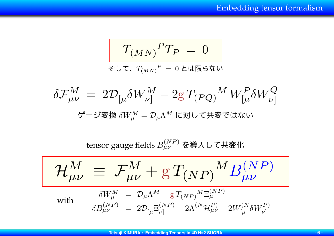$$
T_{(MN)}{}^PT_P\ =\ 0
$$

$$
F\in C, T(MN)^P = 0 \text{ t(kB5} to
$$

$$
\delta \mathcal{F}^{M}_{\mu\nu} = 2 \mathcal{D}_{\left[\mu} \delta W^{M}_{\nu\right]} - 2 g T_{\left(PQ\right)}{}^{M} W^{P}_{\left[\mu} \delta W^{Q}_{\nu\right]}
$$
  

$$
\ddot{\mathcal{F}} - \ddot{\mathcal{F}} \ddot{\mathcal{F}} \ddot{\mathcal{F}} \delta W^{M}_{\mu} = \mathcal{D}_{\mu} \Lambda^{M} \mathcal{F} \ddot{\mathcal{F}} \ddot{\mathcal{F}} \ddot{\mathcal{F}} \ddot{\mathcal{F}} \ddot{\mathcal{F}} \ddot{\mathcal{F}} \ddot{\mathcal{F}} \ddot{\mathcal{F}}
$$

tensor gauge fields *B* (*NP* ) *µν* を導入して共変化

$$
\frac{\mathcal{H}^M_{\mu\nu}\,\equiv\,\mathcal{F}^M_{\mu\nu}+g\,T_{(NP)}{}^M B^{(NP)}_{\mu\nu}}{\delta W^M_{\mu}\,=\,\mathcal{D}_{\mu}\Lambda^M-g\,T_{(NP)}{}^{M}\Xi^{(NP)}_{\mu}}
$$
\nwith\n
$$
\delta B^{(NP)}_{\mu\nu}\,=\,\mathcal{D}_{\left[\mu\right.}\Xi^{(NP)}_{\nu\left.\right]}-2\Lambda^{(N}\mathcal{H}^P_{\mu\nu}+2W^{(N}_{\left[\mu\right.}\delta W^{P)}_{\nu\left.\right]}
$$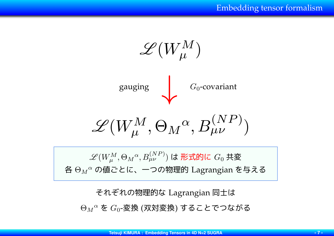

 $\mathscr{L}(W^{M}_{\mu}, \Theta_{M}{}^{\alpha}, B^{(NP)}_{\mu\nu})$  は 形式的に  $G_{0}$  共変 各 Θ*<sup>M</sup> <sup>α</sup>* の値ごとに、一つの物理的 Lagrangian を与える

それぞれの物理的な Lagrangian 同士は

Θ*<sup>M</sup> <sup>α</sup>* を *G*0-変換 (双対変換) することでつながる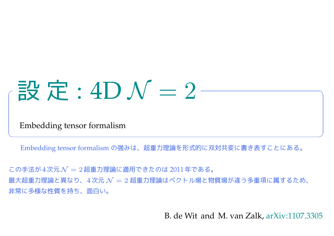# 設定:  $4D N = 2 -$

Embedding tensor formalism

Embedding tensor formalism の強みは、超重力理論を形式的に双対共変に書き表すことにある。

**✒ ✑**

この手法が 4次元 *N* = 2超重力理論に適用できたのは 2011年である。 最大超重力理論と異なり、4次元 *N* = 2 超重力理論はベクトル場と物質場が違う多重項に属するため、 非常に多様な性質を持ち、面白い。

B. de Wit and M. van Zalk, [arXiv:1107.3305](http://arxiv.org/abs/1107.3305)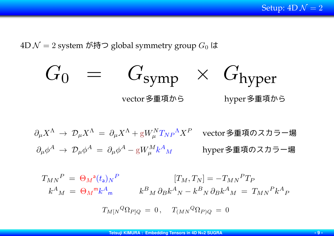Setup:  $4D \mathcal{N} = 2$ 

 $4D\mathcal{N}=2$  system が持つ global symmetry group  $G_0$  は

$$
G_0 = G_{\text{symp}} \times G_{\text{hyper}}
$$
\n
$$
\text{vector}_{\text{supp}} \times \text{G}_{\text{hyper}}
$$
\n
$$
\text{hyper}
$$

 $\partial_\mu X^\Lambda \ \rightarrow \ \mathcal{D}_\mu X^\Lambda \ = \ \partial_\mu X^\Lambda + \mathrm{g} W_\mu^N T_{NP}$ <sup>Λ</sup>*X<sup>P</sup>* vector多重項のスカラー場  $\partial_{\mu} \phi^{A} \ \rightarrow \ \mathcal{D}_{\mu} \phi^{A} \ = \ \partial_{\mu} \phi^{A} - \mathrm{g} W^{M}_{\mu} k^{A}$ *<sup>M</sup>* hyper多重項のスカラー場

$$
T_{MN}^P = \Theta_M^a(t_a)_N^P
$$
  
\n
$$
k^A{}_M = \Theta_M^m k^A{}_m
$$
  
\n
$$
k^B{}_M \partial_B k^A{}_N - k^B{}_N \partial_B k^A{}_M = T_{MN}^P k^A{}_P
$$
  
\n
$$
T_{M[N}^Q \Omega_{P]Q} = 0, \quad T_{(MN}^Q \Omega_{P)Q} = 0
$$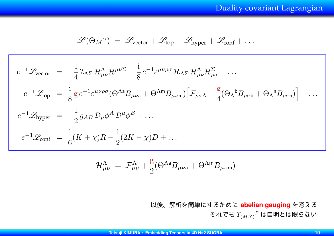$$
\mathscr{L}(\Theta_M{}^{\alpha}) = \mathscr{L}_{\text{vector}} + \mathscr{L}_{\text{top}} + \mathscr{L}_{\text{hyper}} + \mathscr{L}_{\text{conf}} + \dots
$$

$$
e^{-1}\mathcal{L}_{\text{vector}} = -\frac{1}{4}\mathcal{I}_{\Lambda\Sigma}\mathcal{H}^{\Lambda}_{\mu\nu}\mathcal{H}^{\mu\nu\Sigma} - \frac{i}{8}e^{-1}\varepsilon^{\mu\nu\rho\sigma}\mathcal{R}_{\Lambda\Sigma}\mathcal{H}^{\Lambda}_{\mu\nu}\mathcal{H}^{\Sigma}_{\rho\sigma} + \dots
$$
  
\n
$$
e^{-1}\mathcal{L}_{\text{top}} = \frac{i}{8}g e^{-1}\varepsilon^{\mu\nu\rho\sigma}(\Theta^{\Lambda a}B_{\mu\nu a} + \Theta^{\Lambda m}B_{\mu\nu m})\Big[\mathcal{F}_{\rho\sigma\Lambda} - \frac{g}{4}(\Theta_{\Lambda}{}^{b}B_{\rho\sigma b} + \Theta_{\Lambda}{}^{n}B_{\rho\sigma n})\Big] + \dots
$$
  
\n
$$
e^{-1}\mathcal{L}_{\text{hyper}} = -\frac{1}{2}g_{AB}\mathcal{D}_{\mu}\phi^{A}\mathcal{D}^{\mu}\phi^{B} + \dots
$$
  
\n
$$
e^{-1}\mathcal{L}_{\text{conf}} = \frac{1}{6}(K+\chi)R - \frac{1}{2}(2K-\chi)D + \dots
$$

$$
\mathcal{H}^{\Lambda}_{\mu\nu} = \mathcal{F}^{\Lambda}_{\mu\nu} + \frac{g}{2} (\Theta^{\Lambda a} B_{\mu\nu a} + \Theta^{\Lambda m} B_{\mu\nu m})
$$

以後、解析を簡単にするために **abelian gauging** を考える それでも *T*(*MN*) *<sup>P</sup>* は自明とは限らない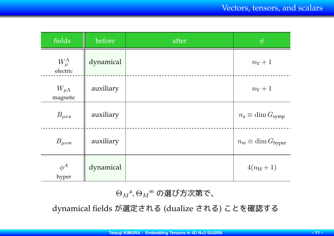| fields                          | before    | after | #                                     |
|---------------------------------|-----------|-------|---------------------------------------|
| $W_{\mu}^{\Lambda}$<br>electric | dynamical |       | $n_V+1$                               |
| $W_{\mu\Lambda}$<br>magnetic    | auxiliary |       | $n_V+1$                               |
| $B_{\mu\nu}$ a                  | auxiliary |       | $n_{\rm a} \equiv \dim G_{\rm symp}$  |
| $B_{\mu\nu\mathsf{m}}$          | auxiliary |       | $n_{\rm m} \equiv \dim G_{\rm hyper}$ |
| $\phi^A$<br>hyper               | dynamical |       | $4(n_{\rm H}+1)$                      |

 $\Theta_{M}$ <sup>a</sup>, $\Theta_{M}$ <sup>m</sup> の選び方次第で、

dynamical fields が選定される (dualize される) ことを確認する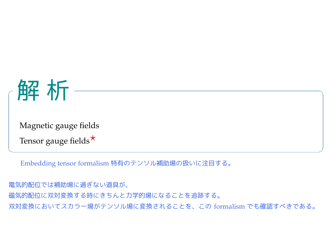

Magnetic gauge fields

Tensor gauge fields<sup>★</sup>

Embedding tensor formalism 特有のテンソル補助場の扱いに注目する。

電気的配位では補助場に過ぎない道具が、 磁気的配位に双対変換する時にきちんと力学的場になることを追跡する。 双対変換においてスカラー場がテンソル場に変換されることを、この formalism でも確認すべきである。

**✒ ✑**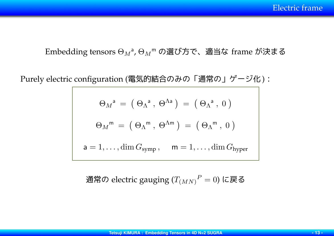Embedding tensors Θ*<sup>M</sup>* a , Θ*<sup>M</sup>* <sup>m</sup> の選び方で、適当な frame が決まる

Purely electric configuration (電気的結合のみの「通常の」ゲージ化):

$$
\Theta_M^a = (\Theta_{\Lambda}^a, \Theta^{\Lambda a}) = (\Theta_{\Lambda}^a, 0)
$$

$$
\Theta_M^m = (\Theta_{\Lambda}^m, \Theta^{\Lambda m}) = (\Theta_{\Lambda}^m, 0)
$$

$$
a = 1, ..., \dim G_{symp}, \quad m = 1, ..., \dim G_{hyper}
$$

通常の electric gauging (*T*(*MN*) *<sup>P</sup>* = 0) に戻る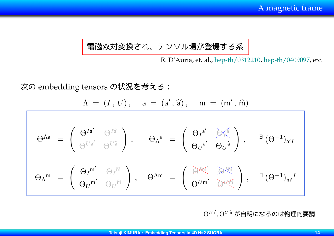### 電磁双対変換され、テンソル場が登場する系

R. D'Auria, et. al., [hep-th/0312210](http://arxiv.org/abs/hep-th/0312210), [hep-th/0409097,](http://arxiv.org/abs/hep-th/0409097) etc.

次の embedding tensors の状況を考える:

$$
\Lambda = (I, U), \quad a = (a', \widehat{a}), \quad m = (m', \widehat{m})
$$

$$
\Theta^{\Lambda a} = \begin{pmatrix} \Theta^{I a'} & \Theta^{I \widehat{a}} \\ \vdots & \vdots & \vdots \\ \Theta^{U a'} & \Theta^{U \widehat{a}} \end{pmatrix}, \qquad \Theta_{\Lambda}^{a} = \begin{pmatrix} \Theta_{I}^{a'} & \Theta_{\Lambda}^{a} \\ \vdots & \vdots \\ \Theta_{U}^{a'} & \Theta_{U}^{a} \end{pmatrix}, \qquad \exists (\Theta^{-1})_{a'I}
$$

$$
\Theta_{\Lambda}^{m} = \begin{pmatrix} \Theta_{I}^{m'} & \Theta_{I}^{\widehat{m}} \\ \vdots & \vdots & \vdots \\ \Theta_{U}^{m'} & \Theta_{U}^{m'} \end{pmatrix}, \qquad \exists (\Theta^{-1})_{m'}^{I}
$$

 $\Theta^{I$ m $^{\prime}}, \Theta^{U$ m $\hat{n}}$  が自明になるのは物理的要請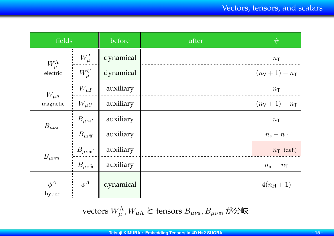| fields                       |                                  | before    | after | #                     |
|------------------------------|----------------------------------|-----------|-------|-----------------------|
| $W_{\mu}^{\Lambda}$          | $W^I_\mu$                        | dynamical |       | $n_{\rm T}$           |
| electric                     | $W^U_\mu$                        | dynamical |       | $(n_V + 1) - n_T$     |
| $W_{\mu\Lambda}$<br>magnetic | $W_{\mu I}$                      | auxiliary |       | $n_{\rm T}$           |
|                              | $W_{\mu U}$                      | auxiliary |       | $(n_V + 1) - n_T$     |
| $B_{\mu\nu}$ a               | $B_{\mu\nu{\rm a'}}$             | auxiliary |       | $n_{\rm T}$           |
|                              | $B_{\mu\nu\widehat{\mathsf{a}}}$ | auxiliary |       | $n_{\rm a}-n_{\rm T}$ |
| $B_{\mu\nu\text{m}}$         | $B_{\mu\nu\mathsf{m}^\prime}$    | auxiliary |       | $n_{\rm T}$ (def.)    |
|                              | $B_{\mu\nu\widehat{\mathsf{m}}}$ | auxiliary |       | $n_{\rm m}-n_{\rm T}$ |
| $\phi^A$<br>hyper            | $\phi^A$                         | dynamical |       | $4(n_{\rm H}+1)$      |

 $\text{vectors } W^\Lambda_\mu, W_{\mu\Lambda} \text{ } \texttt{${\mathcal{E}$}} \text{ }$  tensors  $B_{\mu\nu\mathsf{a}}, B_{\mu\nu\mathsf{m}}$  が分岐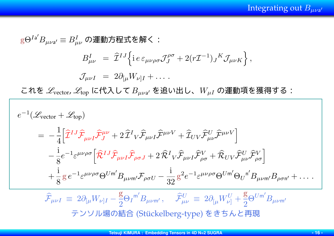Integrating out *Bµν*<sup>a</sup> *′*

$$
g\Theta^{Ia'}B_{\mu\nu a'} \equiv B_{\mu\nu}^{I} \text{ on } \mathbb{H} \pi \mathbb{R} \mathbb{R} \mathbb{C} :
$$
\n
$$
B_{\mu\nu}^{I} = \hat{\mathcal{I}}^{IJ} \Big\{ i e \varepsilon_{\mu\nu\rho\sigma} \mathcal{J}_{J}^{\rho\sigma} + 2(r\mathcal{I}^{-1})_{J}{}^{K} \mathcal{J}_{\mu\nu K} \Big\},
$$
\n
$$
\mathcal{J}_{\mu\nu I} = 2 \partial_{[\mu}W_{\nu]I} + \dots
$$
\n
$$
\mathbb{C} \mathcal{H} \mathbb{E} \mathcal{L}_{\text{vector}} \mathcal{L}_{\text{top}} \Big[ \mathbb{C} \mathbb{H} \mathbb{X} \cup \nabla B_{\mu\nu a'} \mathbb{E} \mathbb{E} \mathbb{U} \mathbb{H} \cup, W_{\mu I} \text{ on } \mathbb{H} \mathbb{H} \mathbb{R} \mathbb{R} \mathbb{H} \mathbb{R} \mathbb{R} \mathbb{R} \mathbb{R} \mathbb{R} \mathbb{R} \mathbb{R} \mathbb{R} \mathbb{R} \mathbb{R} \mathbb{R} \mathbb{R} \mathbb{R} \mathbb{R} \mathbb{R} \mathbb{R} \mathbb{R} \mathbb{R} \mathbb{R} \mathbb{R} \mathbb{R} \mathbb{R} \mathbb{R} \mathbb{R} \mathbb{R} \mathbb{R} \mathbb{R} \mathbb{R} \mathbb{R} \mathbb{R} \mathbb{R} \mathbb{R} \mathbb{R} \mathbb{R} \mathbb{R} \mathbb{R} \mathbb{R} \mathbb{R} \mathbb{R} \mathbb{R} \mathbb{R} \mathbb{R} \mathbb{R} \mathbb{R} \mathbb{R} \mathbb{R} \mathbb{R} \mathbb{R} \mathbb{R} \mathbb{R} \mathbb{R} \mathbb{R} \mathbb{R} \mathbb{R} \mathbb{R} \mathbb{R} \mathbb{R} \mathbb{R} \mathbb{R} \mathbb{R} \mathbb{R} \mathbb{R} \mathbb{R} \mathbb{R} \mathbb{R} \mathbb{R} \mathbb{R} \mathbb{R
$$

テンソル場の結合 (Stückelberg-type) をきちんと再現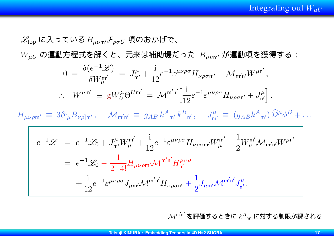$$
\mathcal{L}_{top} \left[ \mathbf{c} \mathbf{\Lambda} \right] \mathbf{\sigma} \mathbf{C} \mathbf{U} \mathbf{\delta} B_{\mu\nu m'} \mathcal{F}_{\rho \sigma U} \mathbf{\eta} \mathbf{\delta} \mathbf{\delta} \mathbf{N} \mathbf{U}^{\dagger} \mathbf{\tilde{\sigma}} \mathbf{\tilde{\sigma}} \mathbf{\tilde{\sigma}} \mathbf{\tilde{\sigma}} \mathbf{\tilde{\sigma}} \mathbf{\tilde{\sigma}} \mathbf{\tilde{\sigma}} \mathbf{\tilde{\sigma}} \mathbf{\tilde{\sigma}} \mathbf{\tilde{\sigma}} \mathbf{\tilde{\sigma}} \mathbf{\tilde{\sigma}} \mathbf{\tilde{\sigma}} \mathbf{\tilde{\sigma}} \mathbf{\tilde{\sigma}} \mathbf{\tilde{\sigma}} \mathbf{\tilde{\sigma}} \mathbf{\tilde{\sigma}} \mathbf{\tilde{\sigma}} \mathbf{\tilde{\sigma}} \mathbf{\tilde{\sigma}} \mathbf{\tilde{\sigma}} \mathbf{\tilde{\sigma}} \mathbf{\tilde{\sigma}} \mathbf{\tilde{\sigma}} \mathbf{\tilde{\sigma}} \mathbf{\tilde{\sigma}} \mathbf{\tilde{\sigma}} \mathbf{\tilde{\sigma}} \mathbf{\tilde{\sigma}} \mathbf{\tilde{\sigma}} \mathbf{\tilde{\sigma}} \mathbf{\tilde{\sigma}} \mathbf{\tilde{\sigma}} \mathbf{\tilde{\sigma}} \mathbf{\tilde{\sigma}} \mathbf{\tilde{\sigma}} \mathbf{\tilde{\sigma}} \mathbf{\tilde{\sigma}} \mathbf{\tilde{\sigma}} \mathbf{\tilde{\sigma}} \mathbf{\tilde{\sigma}} \mathbf{\tilde{\sigma}} \mathbf{\tilde{\sigma}} \mathbf{\tilde{\sigma}} \mathbf{\tilde{\sigma}} \mathbf{\tilde{\sigma}} \mathbf{\tilde{\sigma}} \mathbf{\tilde{\sigma}} \mathbf{\tilde{\sigma}} \mathbf{\tilde{\sigma}} \mathbf{\tilde{\sigma}} \mathbf{\tilde{\sigma}} \mathbf{\tilde{\sigma}} \mathbf{\tilde{\sigma}} \mathbf{\tilde{\sigma}} \mathbf{\tilde{\sigma}} \mathbf{\tilde{\sigma}} \mathbf{\tilde{\sigma}} \mathbf{\tilde{\sigma}} \mathbf{\tilde{\sigma}} \mathbf{\tilde{\sigma}} \mathbf{\tilde{\sigma}} \mathbf{\tilde{\sigma}} \mathbf{\tilde{\sigma}} \mathbf{\tilde{\sigma}} \mathbf{\tilde{\sigma}} \mathbf{\tilde{\sigma}} \mathbf{\tilde{\sigma}} \mathbf{\tilde{\sigma}} \mathbf{\tilde{\sigma}} \mathbf{\tilde{\sigma}} \mathbf{\tilde{\
$$

*M*<sup>m</sup> *′* n *′* を評価するときに *k<sup>A</sup>* <sup>m</sup>*′* に対する制限が課される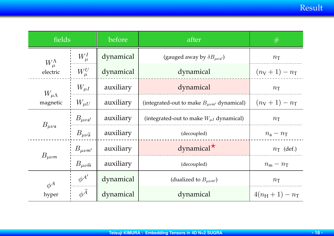| fields                       |                                  | before    | after                                              | #                          |
|------------------------------|----------------------------------|-----------|----------------------------------------------------|----------------------------|
| $W_{\mu}^{\Lambda}$          | $W^I_\mu$                        | dynamical | (gauged away by $\delta B_{\mu\nu a'}$ )           | $n_{\rm T}$                |
| electric                     | $W_\mu^U$                        | dynamical | dynamical                                          | $(n_V + 1) - n_T$          |
|                              | $W_{\mu I}$                      | auxiliary | dynamical                                          | $n_{\rm T}$                |
| $W_{\mu\Lambda}$<br>magnetic | $W_{\mu U}$                      | auxiliary | (integrated-out to make $B_{\mu\nu m'}$ dynamical) | $(n_V + 1) - n_T$          |
| $B_{\mu\nu}$                 | $B_{\mu\nu\mathsf{a}^\prime}$    | auxiliary | (integrated-out to make $W_{\mu I}$ dynamical)     | $n_{\rm T}$                |
|                              | $B_{\mu\nu\widehat{\mathsf{a}}}$ | auxiliary | (decoupled)                                        | $n_{\rm a}-n_{\rm T}$      |
| $B_{\mu\nu m'}$              |                                  | auxiliary | dynamical <sup>*</sup>                             | $n_{\rm T}$ (def.)         |
| $B_{\mu\nu m}$               | $B_{\mu\nu\widehat{\mathsf{m}}}$ | auxiliary | (decoupled)                                        | $n_{\rm m}-n_{\rm T}$      |
| $\phi^A$                     | $\phi^{A'}$                      | dynamical | (dualized to $B_{\mu\nu\text{m'}}$ )               | $n_{\rm T}$                |
| hyper                        | $\phi^{\widehat{A}}$             | dynamical | dynamical                                          | $4(n_{\rm H}+1)-n_{\rm T}$ |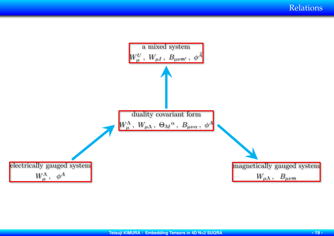Relations

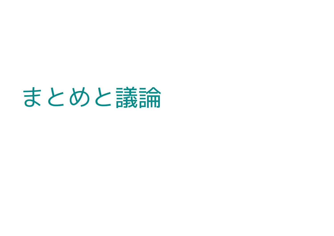# まとめと議論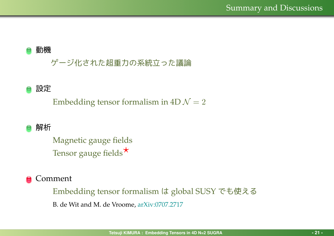#### 動機

## ゲージ化された超重力の系統立った議論

### 設定

Embedding tensor formalism in  $4D\mathcal{N}=2$ 

### 解析

Magnetic gauge fields Tensor gauge fields*⋆*

### Comment

Embedding tensor formalism は global SUSY でも使える B. de Wit and M. de Vroome, [arXiv:0707.2717](http://arxiv.org/abs/0707.2717)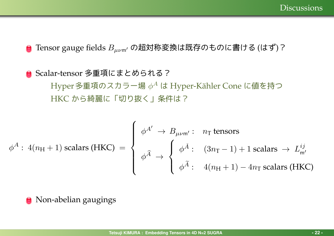Tensor gauge fields *Bµν*m*′* の超対称変換は既存のものに書ける (はず)?

# **○ Scalar-tensor 多重項にまとめられる?** Hyper 多重項のスカラー場  $\phi^A$  は Hyper-Kähler Cone に値を持つ HKC から綺麗に「切り抜く」条件は?

$$
\phi^{A}: 4(n_{\text{H}}+1) \text{ scalars (HKC)} = \begin{cases} \phi^{A'} \to B_{\mu\nu\text{m}'}: & n_{\text{T}} \text{ tensors} \\ \phi^{\widehat{A}} \to \begin{cases} \phi^{\widehat{A}}: & (3n_{\text{T}}-1)+1 \text{ scalars} \to L_{\text{m}'}^{ij} \\ \phi^{\widehat{A}}: & 4(n_{\text{H}}+1)-4n_{\text{T}} \text{ scalars (HKC)} \end{cases}
$$

**• Non-abelian gaugings**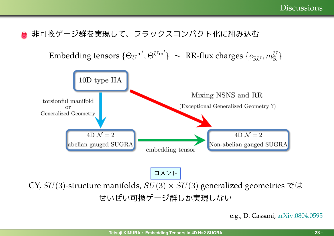### 非可換ゲージ群を実現して、フラックスコンパクト化に組み込む

 $\{ \Theta_U^{(m)}, \Theta^{U(m')} \}$  ~ RR-flux charges  $\{ e_{RU}, m_R^U \}$ 



コメント

CY,  $SU(3)$ -structure manifolds,  $SU(3) \times SU(3)$  generalized geometries では せいぜい可換ゲージ群しか実現しない

e.g., D. Cassani, [arXiv:0804.0595](http://arxiv.org/abs/0804.0595)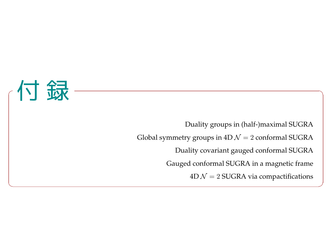

Duality groups in (half-)maximal SUGRA Global symmetry groups in  $4D\mathcal{N}=2$  conformal SUGRA Duality covariant gauged conformal SUGRA Gauged conformal SUGRA in a magnetic frame  $4D \mathcal{N} = 2$  SUGRA via compactifications

**✒ ✑**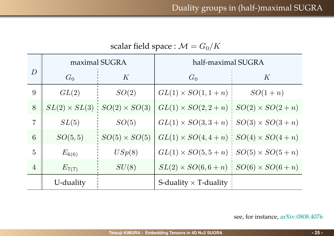| $\sum$           |                      |                      |                                                   |           |  |  |
|------------------|----------------------|----------------------|---------------------------------------------------|-----------|--|--|
|                  |                      | maximal SUGRA        | half-maximal SUGRA                                |           |  |  |
| $\boldsymbol{D}$ | $G_0$                | K                    | $G_0$                                             | K         |  |  |
| 9                | GL(2)                | SO(2)                | $GL(1) \times SO(1, 1+n)$ :                       | $SO(1+n)$ |  |  |
| 8                | $SL(2) \times SL(3)$ | $SO(2) \times SO(3)$ | $GL(1) \times SO(2,2+n)$ $SO(2) \times SO(2+n)$   |           |  |  |
| $\overline{7}$   | SL(5)                | SO(5)                | $GL(1) \times SO(3,3+n)$ $SO(3) \times SO(3+n)$   |           |  |  |
| 6                | SO(5,5)              | $SO(5) \times SO(5)$ | $GL(1) \times SO(4,4+n)$ $SO(4) \times SO(4+n)$   |           |  |  |
| $\overline{5}$   | $E_{6(6)}$           | USp(8)               | $GL(1) \times SO(5, 5+n)$ $SO(5) \times SO(5+n)$  |           |  |  |
| $\overline{4}$   | $E_{7(7)}$           | SU(8)                | $SL(2) \times SO(6,6+n)$ : $SO(6) \times SO(6+n)$ |           |  |  |
|                  | U-duality            |                      | S-duality $\times$ T-duality                      |           |  |  |

scalar field space :  $\mathcal{M} = G_0/K$ 

see, for instance, [arXiv:0808.4076](http://arxiv.org/abs/0808.4076)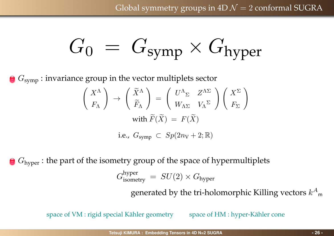$$
G_0 = G_{symp} \times G_{hyper}
$$

*G*<sub>symp</sub>: invariance group in the vector multiplets sector

$$
\begin{pmatrix} X^{\Lambda} \\ F_{\Lambda} \end{pmatrix} \rightarrow \begin{pmatrix} \widetilde{X}^{\Lambda} \\ \widetilde{F}_{\Lambda} \end{pmatrix} = \begin{pmatrix} U^{\Lambda}_{\Sigma} & Z^{\Lambda \Sigma} \\ W_{\Lambda \Sigma} & V_{\Lambda}^{\Sigma} \end{pmatrix} \begin{pmatrix} X^{\Sigma} \\ F_{\Sigma} \end{pmatrix}
$$
  
with  $\widetilde{F}(\widetilde{X}) = F(\widetilde{X})$ 

i.e.,  $G_{\text{symp}} \subset Sp(2n_V + 2; \mathbb{R})$ 

**G**  $G_{\text{hyper}}$ : the part of the isometry group of the space of hypermultiplets

 $G_{\text{isometry}}^{\text{hyper}} \ = \ SU(2) \times G_{\text{hyper}}$ 

generated by the tri-holomorphic Killing vectors  $k^A$ m

space of VM : rigid special Kähler geometry space of HM : hyper-Kähler cone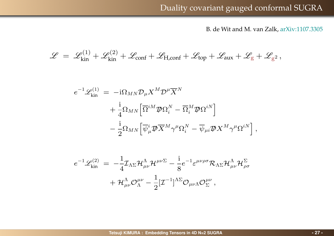B. de Wit and M. van Zalk, [arXiv:1107.3305](http://arxiv.org/abs/1107.3305)

$$
\mathscr{L} \;=\; \mathscr{L}^{(1)}_{\rm kin}+\mathscr{L}^{(2)}_{\rm kin}+\mathscr{L}_{\rm conf}+\mathscr{L}_{\rm H,conf}+\mathscr{L}_{\rm top}+\mathscr{L}_{\rm aux}+\mathscr{L}_{\rm g}+\mathscr{L}_{\rm g^2}\,,
$$

$$
e^{-1}\mathscr{L}^{(1)}_{kin} = -i\Omega_{MN}\mathcal{D}_{\mu}X^{M}\mathcal{D}^{\mu}\overline{X}^{N} +\frac{i}{4}\Omega_{MN}\Big[\overline{\Omega}^{iM}\mathcal{D}\Omega_{i}^{N} - \overline{\Omega}_{i}^{M}\mathcal{D}\Omega^{iN}\Big] -\frac{i}{2}\Omega_{MN}\Big[\overline{\psi}_{\mu}^{i}\mathcal{D}\overline{X}^{M}\gamma^{\mu}\Omega_{i}^{N} - \overline{\psi}_{\mu i}\mathcal{D}X^{M}\gamma^{\mu}\Omega^{iN}\Big],
$$

$$
e^{-1}\mathscr{L}^{(2)}_{\mathrm{kin}} = -\frac{1}{4}\mathcal{I}_{\Lambda\Sigma}\mathcal{H}^{\Lambda}_{\mu\nu}\mathcal{H}^{\mu\nu\Sigma} - \frac{i}{8}e^{-1}\varepsilon^{\mu\nu\rho\sigma}\mathcal{R}_{\Lambda\Sigma}\mathcal{H}^{\Lambda}_{\mu\nu}\mathcal{H}^{\Sigma}_{\rho\sigma} + \mathcal{H}^{\Lambda}_{\mu\nu}\mathcal{O}^{\mu\nu}_{\Lambda} - \frac{1}{2}[\mathcal{I}^{-1}]^{\Lambda\Sigma}\mathcal{O}_{\mu\nu\Lambda}\mathcal{O}^{\mu\nu}_{\Sigma},
$$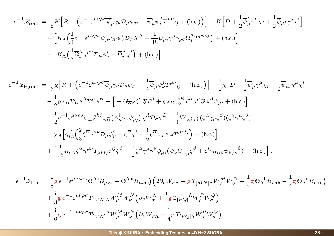$$
e^{-1}\mathcal{L}_{\text{conf}} = \frac{1}{6}K\Big[R + \Big(e^{-1}\varepsilon^{\mu\nu\rho\sigma}\overline{\psi}^i_{\mu}\gamma_{\nu}\mathcal{D}_{\rho}\psi_{\sigma i} - \overline{\psi}^i_{\mu}\psi^j_{\nu}T^{\mu\nu}_{ij} + \text{(h.c.)}\Big)\Big] - K\Big[D + \frac{1}{2}\overline{\psi}^i_{\mu}\gamma^{\mu}\chi_i + \frac{1}{2}\overline{\psi}_{\mu i}\gamma^{\mu}\chi^i\Big]
$$

$$
- \Big[K_{\Lambda}\Big(\frac{1}{4}e^{-1}\varepsilon^{\mu\nu\rho\sigma}\overline{\psi}_{\mu i}\gamma_{\nu}\psi^i_{\rho}\mathcal{D}_{\sigma}X^{\Lambda} + \frac{1}{48}\overline{\psi}_{\mu i}\gamma^{\mu}\gamma_{\rho\sigma}\Omega^{\Lambda}_{j}T^{\rho\sigma ij}\Big) + \text{(h.c.)}\Big]
$$

$$
- \Big[K_{\Lambda}\Big(\frac{1}{3}\overline{\Omega}^{\Lambda}_{i}\gamma^{\mu\nu}\mathcal{D}_{\mu}\psi^i_{\nu} - \overline{\Omega}^{\Lambda}_{i}\chi^i\Big) + \text{(h.c.)}\Big],
$$

$$
e^{-1}\mathcal{L}_{H,\text{conf}} = \frac{1}{6}\chi \Big[ R + \Big( e^{-1} \varepsilon^{\mu\nu\rho\sigma} \overline{\psi}^i_{\mu} \gamma_{\nu} \mathcal{D}_{\rho} \psi_{\sigma i} - \frac{1}{4} \overline{\psi}^i_{\mu} \psi^j_{\nu} T^{\mu\nu}{}_{ij} + (\text{h.c.}) \Big) \Big] + \frac{1}{2}\chi \Big[ D + \frac{1}{2} \overline{\psi}^i_{\mu} \gamma^{\mu} \chi_i + \frac{1}{2} \overline{\psi}_{\mu i} \gamma^{\mu} \chi^i \Big] -\frac{1}{2} g_{AB} \mathcal{D}_{\mu} \phi^A \mathcal{D}^{\mu} \phi^B + \Big[ -G_{\overline{\alpha} \beta} \overline{\zeta}^{\overline{\alpha}} \mathcal{D} \zeta^{\beta} + g_{AB} \overline{\gamma}_{\alpha}^{iB} \overline{\zeta}^{\alpha} \gamma^{\mu} \mathcal{D} \phi^A \psi_{\mu i} + (\text{h.c.}) \Big] -\frac{1}{2} e^{-1} \varepsilon^{\mu\nu\rho\sigma} \varepsilon_{ik} J^{kj}{}_{AB} (\overline{\psi}^i_{\mu} \gamma_{\nu} \psi_{\rho j}) \chi^A \mathcal{D}_{\sigma} \phi^B - \frac{1}{4} W_{\overline{\alpha} \beta \overline{\gamma} \delta} (\overline{\zeta}^{\overline{\alpha}} \gamma_{\mu} \zeta^{\beta}) (\overline{\zeta}^{\overline{\gamma}} \gamma^{\mu} \zeta^{\delta}) -\chi_A \Big[ \gamma^A_{i\overline{\alpha}} \Big( \frac{2}{3} \overline{\zeta}^{\overline{\alpha}} \gamma^{\mu\nu} \mathcal{D}_{\mu} \psi^i_{\nu} + \overline{\zeta}^{\overline{\alpha}} \chi^i - \frac{1}{6} \overline{\zeta}^{\overline{\alpha}} \gamma_{\mu} \psi_{\nu i} T^{\mu\nu ij} \Big) + (\text{h.c.}) \Big] +\Big[ \frac{1}{16} \overline{\Omega}_{\alpha\beta} \overline{\zeta}^{\alpha} \gamma^{\mu\nu} T_{\mu\nu ij} \varepsilon^{ij} \zeta^{\beta} - \frac{1}{2} \overline{\zeta}^{\alpha} \gamma^{\mu
$$

$$
e^{-1}\mathcal{L}_{top} = \frac{i}{8}g e^{-1} \varepsilon^{\mu\nu\rho\sigma} (\Theta^{\Lambda a}B_{\mu\nu a} + \Theta^{\Lambda m}B_{\mu\nu m}) \left(2\partial_{\rho}W_{\sigma\Lambda} + g T_{[MN]\Lambda}W_{\rho}^{M}W_{\sigma}^{N} - \frac{1}{4}g \Theta_{\Lambda}{}^{b}B_{\rho\sigma b} - \frac{1}{4}g \Theta_{\Lambda}{}^{n}B_{\rho\sigma n}\right) + \frac{i}{3}g e^{-1} \varepsilon^{\mu\nu\rho\sigma} T_{[MN]\Lambda}W_{\mu}^{M}W_{\nu}^{N} \left(\partial_{\rho}W_{\sigma}^{\Lambda} + \frac{1}{4}g T_{[PQ]}{}^{\Lambda}W_{\rho}^{P}W_{\sigma}^{Q}\right) + \frac{i}{6}g e^{-1} \varepsilon^{\mu\nu\rho\sigma} T_{[MN]}{}^{\Lambda}W_{\mu}^{M}W_{\nu}^{N} \left(\partial_{\rho}W_{\sigma\Lambda} + \frac{1}{4}g T_{[PQ]\Lambda}W_{\rho}^{P}W_{\sigma}^{Q}\right),
$$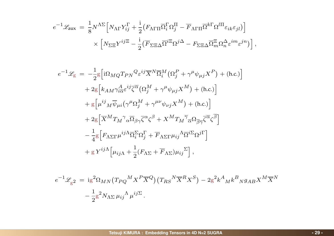$$
e^{-1} \mathcal{L}_{\text{aux}} = \frac{1}{8} N^{\Lambda \Sigma} \Big[ N_{\Lambda \Gamma} Y_{ij}^{\Gamma} + \frac{i}{2} \big( F_{\Lambda \Gamma \Pi} \overline{\Omega}_{i}^{\Gamma} \Omega_{j}^{\Pi} - \overline{F}_{\Lambda \Gamma \Pi} \overline{\Omega}^{k \Gamma} \Omega^{l \Pi} \varepsilon_{i k} \varepsilon_{j l} \big) \Big] \times \Big[ N_{\Sigma \Xi} Y^{ij \Xi} - \frac{i}{2} \big( \overline{F}_{\Sigma \Xi \Delta} \overline{\Omega}^{i \Xi}_{i \Sigma} \Omega^{j \Delta}_{j} - F_{\Sigma \Xi \Delta} \overline{\Omega}_{m}^{\Xi} \Omega_{n}^{\Delta} \varepsilon^{i m} \varepsilon^{j n} \big) \Big],
$$

$$
e^{-1}\mathcal{L}_{g} = -\frac{1}{2}g\left[i\Omega_{MQ}T_{PN}^{Q}\varepsilon^{ij}\overline{X}^{N}\overline{\Omega}_{i}^{M}(\Omega_{j}^{P} + \gamma^{\mu}\psi_{\mu j}X^{P}) + (\text{h.c.})\right] + 2g\left[k_{AM}\gamma_{i\overline{\alpha}}^{\hat{A}}\varepsilon^{ij}\overline{\zeta}^{\overline{\alpha}}(\Omega_{j}^{M} + \gamma^{\mu}\psi_{\mu j}X^{M}) + (\text{h.c.})\right] + g\left[\mu^{ij}{}_{M}\overline{\psi}_{\mu i}(\gamma^{\mu}\Omega_{j}^{M} + \gamma^{\mu\nu}\psi_{\nu j}X^{M}) + (\text{h.c.})\right] + 2g\left[\overline{X}^{M}T_{M}^{\gamma}{}_{\alpha}\overline{\Omega}_{\beta\gamma}\overline{\zeta}^{\alpha}\zeta^{\beta} + X^{M}T_{M}^{\gamma}\overline{\alpha}\Omega_{\overline{\beta}\overline{\gamma}}\overline{\zeta}^{\overline{\alpha}}\zeta^{\overline{\beta}}\right] - \frac{1}{4}g\left[F_{\Lambda\Sigma\Gamma}\mu^{ij\Lambda}\overline{\Omega}_{i}^{\Sigma}\Omega_{j}^{\Gamma} + \overline{F}_{\Lambda\Sigma\Gamma}\mu_{ij}^{\Lambda}\overline{\Omega}^{i\Sigma}\Omega^{j\Gamma}\right] + gY^{ij\Lambda}\left[\mu_{ij\Lambda} + \frac{1}{2}(F_{\Lambda\Sigma} + \overline{F}_{\Lambda\Sigma})\mu_{ij}^{\Sigma}\right],
$$

$$
e^{-1}\mathscr{L}_{g2} = ig^2 \Omega_{MN} (T_{PQ}{}^M X^P \overline{X}^Q) (T_{RS}{}^N \overline{X}^R X^S) - 2g^2 k^A{}_M k^B{}_N g_{AB} X^M \overline{X}^N
$$

$$
- \frac{1}{2} g^2 N_{\Lambda \Sigma} \mu_{ij}{}^{\Lambda}{}_{\mu}{}^{ij \Sigma}.
$$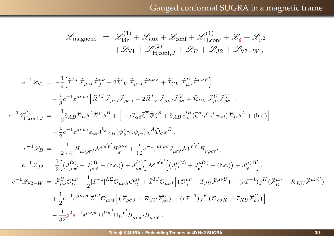$$
\mathscr{L}_{\text{magnetic}} = \mathscr{L}_{\text{kin}}^{(1)} + \mathscr{L}_{\text{aux}} + \mathscr{L}_{\text{conf}} + \mathscr{L}_{H,\text{conf}}^{(1)} + \mathscr{L}_{g} + \mathscr{L}_{g^2} \n+ \mathscr{L}_{V1} + \mathscr{L}_{H,\text{conf},J}^{(2)} + \mathscr{L}_{B} + \mathscr{L}_{J2} + \mathscr{L}_{V2-W},
$$

$$
e^{-1}\mathcal{L}_{VI} = -\frac{1}{4} \Big[ \hat{\mathcal{I}}^{IJ} \hat{\mathcal{F}}_{\mu\nu I} \hat{\mathcal{F}}_{J}^{\mu\nu} + 2 \hat{\mathcal{I}}^{I} \nabla \hat{\mathcal{F}}_{\mu\nu I} \hat{\mathcal{F}}^{\mu\nu V} + \hat{\mathcal{I}}_{UV} \hat{\mathcal{F}}_{\mu\nu I}^{U} \hat{\mathcal{F}}^{\mu\nu V} \Big] - \frac{i}{8} e^{-1} \varepsilon^{\mu\nu\rho\sigma} \Big[ \hat{\mathcal{R}}^{IJ} \hat{\mathcal{F}}_{\mu\nu I} \hat{\mathcal{F}}_{\rho\sigma J} + 2 \hat{\mathcal{R}}^{I} \nabla \hat{\mathcal{F}}_{\mu\nu I} \hat{\mathcal{F}}_{\rho\sigma}^{\nu} + \hat{\mathcal{R}}_{UV} \hat{\mathcal{F}}_{\mu\nu}^{U} \hat{\mathcal{F}}_{\rho\sigma}^{\nu} \Big],
$$
  
\n
$$
e^{-1} \mathcal{L}_{H,conf,J}^{(2)} = -\frac{1}{2} \mathcal{S}_{AB} \hat{\mathcal{D}}_{\mu} \phi^{A} \hat{\mathcal{D}}^{\mu} \phi^{B} + \Big[ -G_{\overline{\alpha}\beta} \overline{\zeta}^{\overline{\alpha}} \tilde{\mathcal{D}} \zeta^{\beta} + \mathcal{S}_{AB} \overline{\gamma}_{\alpha}^{i} \Big( \overline{\zeta}^{\alpha} \gamma^{\rho} \gamma^{\mu} \psi_{\rho i} \Big) \hat{\mathcal{D}}_{\mu} \phi^{A} + (\text{h.c.}) \Big] - \frac{1}{2} e^{-1} \varepsilon^{\mu\nu\rho\sigma} \varepsilon_{ik} \beta^{kj} \mathcal{A}_{B} \Big( \overline{\psi}_{\mu}^{i} \gamma_{\nu} \psi_{\rho j} \Big) \chi^{A} \hat{\mathcal{D}}_{\sigma} \phi^{B} ,
$$
  
\n
$$
e^{-1} \mathcal{L}_{J2} = -\frac{1}{2} \cdot 4! \mathcal{H}_{\mu\nu\rho m'} \mathcal{M}^{m'n'} \mathcal{H}_{n'}^{\mu\nu\rho} + \frac{i}{12} e^{-1} \varepsilon^{\mu\nu\rho\sigma} \mathcal{J}_{
$$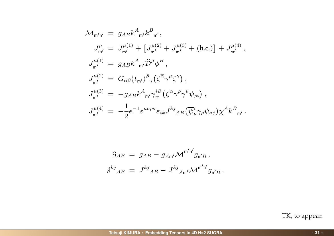$$
\mathcal{M}_{m'n'} = g_{AB} k^{A}{}_{m'} k^{B}{}_{n'},
$$
\n
$$
J_{m'}^{\mu} = J_{m'}^{\mu(1)} + [J_{m'}^{\mu(2)} + J_{m'}^{\mu(3)} + (\text{h.c.})] + J_{m'}^{\mu(4)},
$$
\n
$$
J_{m'}^{\mu(1)} = g_{AB} k^{A}{}_{m'} \hat{\mathcal{D}}^{\mu} \phi^{B},
$$
\n
$$
J_{m'}^{\mu(2)} = G_{\overline{\alpha}\beta} (t_{m'})^{\beta}{}_{\gamma} (\overline{\zeta^{\alpha}} \gamma^{\mu} \zeta^{\gamma}),
$$
\n
$$
J_{m'}^{\mu(3)} = -g_{AB} k^{A}{}_{m'} \overline{\gamma}^{iB}_{\alpha} (\overline{\zeta^{\alpha}} \gamma^{\rho} \gamma^{\mu} \psi_{\rho i}),
$$
\n
$$
J_{m'}^{\mu(4)} = -\frac{1}{2} e^{-1} \varepsilon^{\mu \nu \rho \sigma} \varepsilon_{ik} J^{kj}{}_{AB} (\overline{\psi}^{i}_{\nu} \gamma_{\rho} \psi_{\sigma j}) \chi^{A} k^{B}{}_{m'}.
$$

$$
G_{AB} = g_{AB} - g_{Am'} \mathcal{M}^{m'n'} g_{n'B},
$$
  

$$
g^{kj}{}_{AB} = J^{kj}{}_{AB} - J^{kj}{}_{Am'} \mathcal{M}^{m'n'} g_{n'B}.
$$

TK, to appear.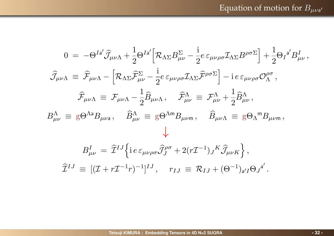$$
0 = -\Theta^{Ia'}\hat{J}_{\mu\nu\Lambda} + \frac{1}{2}\Theta^{Ia'}\Big[\mathcal{R}_{\Lambda\Sigma}B_{\mu\nu}^{\Sigma} - \frac{i}{2}e\,\varepsilon_{\mu\nu\rho\sigma}\mathcal{I}_{\Lambda\Sigma}B^{\rho\sigma\Sigma}\Big] + \frac{1}{2}\Theta_{I}^{a'}B_{\mu\nu}^{I},
$$
  

$$
\hat{J}_{\mu\nu\Lambda} \equiv \hat{\mathcal{F}}_{\mu\nu\Lambda} - \Big[\mathcal{R}_{\Lambda\Sigma}\hat{\mathcal{F}}_{\mu\nu}^{\Sigma} - \frac{i}{2}e\,\varepsilon_{\mu\nu\rho\sigma}\mathcal{I}_{\Lambda\Sigma}\hat{\mathcal{F}}^{\rho\sigma\Sigma}\Big] - i\,e\,\varepsilon_{\mu\nu\rho\sigma}\mathcal{O}_{\Lambda}^{\rho\sigma},
$$
  

$$
\hat{\mathcal{F}}_{\mu\nu\Lambda} \equiv \mathcal{F}_{\mu\nu\Lambda} - \frac{1}{2}\hat{B}_{\mu\nu\Lambda}, \quad \hat{\mathcal{F}}_{\mu\nu}^{\Lambda} \equiv \mathcal{F}_{\mu\nu}^{\Lambda} + \frac{1}{2}\hat{B}_{\mu\nu}^{\Lambda},
$$
  

$$
B_{\mu\nu}^{\Lambda} \equiv g\Theta^{\Lambda a}B_{\mu\nu a}, \quad \hat{B}_{\mu\nu}^{\Lambda} \equiv g\Theta^{\Lambda m}B_{\mu\nu m}, \quad \hat{B}_{\mu\nu\Lambda} \equiv g\Theta_{\Lambda}{}^{m}B_{\mu\nu m},
$$
  

$$
B_{\mu\nu}^{I} = \hat{\mathcal{I}}^{IJ}\Big\{i\,e\,\varepsilon_{\mu\nu\rho\sigma}\hat{\mathcal{J}}_{J}^{\rho\sigma} + 2(r\mathcal{I}^{-1})_{J}{}^{K}\hat{\mathcal{J}}_{\mu\nu K}\Big\},
$$
  

$$
\hat{\mathcal{I}}^{IJ} \equiv [(\mathcal{I} + r\mathcal{I}^{-1}r)^{-1}]^{IJ}, \quad r_{IJ} \equiv \mathcal{R}_{IJ} + (\Theta^{-1})_{a'I}\Theta_{J}{}^{a'}.
$$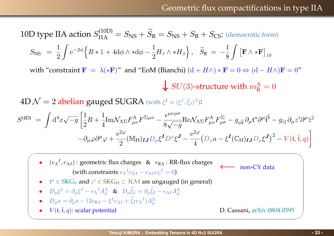10D type IIA action 
$$
S_{\text{IIA}}^{(10D)} = S_{\text{NS}} + \tilde{S}_{\text{R}} = S_{\text{NS}} + S_{\text{R}} + S_{\text{CS}}
$$
: (democratic form)

$$
S_{\rm NS} \ = \ \frac{1}{2} \int {\rm e}^{-2\phi} \Bigl\{ {\cal R} * \mathbbm{1} + 4 {\rm d} \phi \wedge * {\rm d} \phi - \frac{1}{2} H_3 \wedge * H_3 \Bigr\} \, , \quad \widetilde{S}_{\rm R} \ = \ - \frac{1}{8} \int \left[ {\bf F} \wedge * {\bf F} \right]_{10}
$$

with "constraint  $\mathbf{F} = \lambda$ ( $\ast \mathbf{F}$ )" and "EoM (Bianchi) ( $d + H\wedge$ )  $\ast \mathbf{F} = 0 \Leftrightarrow (d - H\wedge)\mathbf{F} = 0$ "

 $\bigstar$  *SU*(3)-structure with  $m_{\rm R}^{\Lambda} = 0$ 

 $4\mathrm{D} \; \mathcal{N} = 2$  abelian gauged SUGRA (with  $\xi^I \equiv (\xi^I, \widetilde{\xi}_I)^{\mathrm{T}})$ :

$$
S^{(4D)} = \int d^4x \sqrt{-g} \left[ \frac{1}{2} R + \frac{1}{4} \text{Im} \mathcal{N}_{\Lambda \Sigma} F^{\Lambda}_{\mu\nu} F^{\Sigma \mu\nu} - \frac{\epsilon^{\mu\nu\rho\sigma}}{8\sqrt{-g}} \text{Re} \mathcal{N}_{\Lambda \Sigma} F^{\Lambda}_{\mu\nu} F^{\Sigma}_{\rho\sigma} - g_{a\overline{b}} \partial_{\mu} \mathfrak{t}^a \partial^{\mu} \overline{\mathfrak{t}}^{\overline{b}} - g_{i\overline{j}} \partial_{\mu} z^i \partial^{\mu} \overline{z}^{\overline{j}} - \partial_{\mu} \varphi \partial^{\mu} \varphi + \frac{e^{2\varphi}}{2} (\mathbb{M}_{\text{H}})_{IJ} D_{\mu} \xi^{\overline{I}} D^{\mu} \xi^{\overline{J}} - \frac{e^{2\varphi}}{4} (D_{\mu} a - \xi^{\overline{I}} (\mathbb{C}_{\text{H}})_{IJ} D_{\mu} \xi^{\overline{J}})^2 - V(\mathfrak{t}, \overline{\mathfrak{t}}, q) \right]
$$

•  $(e_\Lambda^I, e_{\Lambda I})$ : geometric flux charges &  $e_{\text{RA}}$ : RR-flux charges  $\longleftrightarrow$  non-CY data *(with constraints*  $e_\Lambda^I e_{\Sigma I} - e_{\Lambda I} e_{\Sigma}^I = 0$ *)* (with constraints  $e_{\Lambda}{}^{I}e_{\Sigma I} - e_{\Lambda I}e_{\Sigma}{}^{I} = 0$ )

*•*  $t^a \in SKG_V$  and  $z^i \in SKG_H \subset \mathcal{HM}$  are ungauged (in general)

• 
$$
D_{\mu}\xi^{I} = \partial_{\mu}\xi^{I} - e_{\Lambda}{}^{I}A_{\mu}^{\Lambda}
$$
 &  $D_{\mu}\xi_{I} = \partial_{\mu}\xi_{I} - e_{\Lambda I}A_{\mu}^{\Lambda}$ 

•  $D_{\mu}a = \partial_{\mu}a - (2e_{\text{RA}} - \xi^{I}e_{\text{AI}} + \xi_{I}e_{\text{A}}^{I})A_{\mu}^{\text{A}}$ 

✬

✫

•  $V(\mathfrak{t}, \bar{\mathfrak{t}}, q)$ : scalar potential D. Cassani, [arXiv:0804.0595](http://arxiv.org/abs/0804.0595)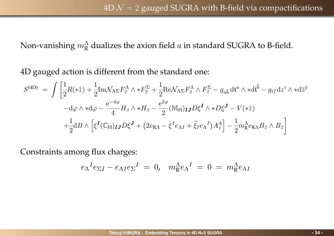Non-vanishing  $m_\text{R}^\Lambda$  dualizes the axion field  $a$  in standard SUGRA to B-field.

4D gauged action is different from the standard one:

$$
S^{(4D)} = \int \left[ \frac{1}{2} R(*) + \frac{1}{2} \text{Im} \mathcal{N}_{\Lambda \Sigma} F^{\Lambda}_{2} \wedge *F^{\Sigma}_{2} + \frac{1}{2} \text{Re} \mathcal{N}_{\Lambda \Sigma} F^{\Lambda}_{2} \wedge F^{\Sigma}_{2} - g_{a\bar{b}} \, \text{d} t^{a} \wedge * \text{d} \bar{t}^{\bar{b}} - g_{i\bar{j}} \, \text{d} z^{i} \wedge * \text{d} \bar{z}^{\bar{j}} \right]
$$

$$
- \text{d}\varphi \wedge * \text{d}\varphi - \frac{\text{e}^{-4\varphi}}{4} H_{\beta} \wedge * H_{\beta} - \frac{\text{e}^{2\varphi}}{2} (\text{M}_{\text{H}})_{IJ} D \xi^{I} \wedge * D \xi^{J} - V(*1)
$$

$$
+ \frac{1}{2} \text{d} B \wedge \left[ \xi^{I} (\mathbb{C}_{\text{H}})_{IJ} D \xi^{J} + (2e_{\text{RA}} - \xi^{I} e_{\text{AI}} + \tilde{\xi}_{I} e_{\text{A}}^{I}) A^{\Lambda}_{I} \right] - \frac{1}{2} m_{\text{R}}^{\Lambda} e_{\text{RA}} B_{\beta} \wedge B_{\beta} \right]
$$

Constraints among flux charges:

$$
e_{\Lambda}{}^{I}e_{\Sigma I} - e_{\Lambda I}e_{\Sigma}{}^{I} = 0, \quad m_{\mathcal{R}}^{\Lambda}e_{\Lambda}{}^{I} = 0 = m_{\mathcal{R}}^{\Lambda}e_{\Lambda I}
$$